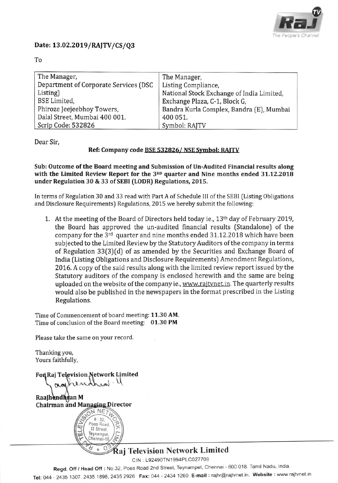

### Date: 13.02.2019/RAJTV/CS/Q3

| The Manager,                          | The Manager,                              |  |  |  |
|---------------------------------------|-------------------------------------------|--|--|--|
| Department of Corporate Services (DSC | Listing Compliance,                       |  |  |  |
| Listing)                              | National Stock Exchange of India Limited, |  |  |  |
| <b>BSE</b> Limited,                   | Exchange Plaza, C-1, Block G,             |  |  |  |
| Phiroze Jeejeebhoy Towers,            | Bandra Kurla Complex, Bandra (E), Mumbai  |  |  |  |
| Dalal Street, Mumbai 400 001.         | 400 051.                                  |  |  |  |
| Scrip Code: 532826                    | Symbol: RAJTV                             |  |  |  |

Dear Sir,

#### Ref: Company code **BSE 532826/ NSE Symbol: RAITV**

Sub: Outcome of the Board meeting and Submission of Un-Audited Financial results along with the Limited Review Report for the 3RD quarter and Nine months ended 31.12.2018 under Regulation 30 & 33 of SEBI (LODR) Regulations, 2015.

In terms of Regulation 30 and 33 read with Part A of Schedule III of the SEBI (Listing Obligations and Disclosure Requirements) Regulations,2015 we hereby submit the following:

1. At the meeting of the Board of Directors held today ie., 13<sup>th</sup> day of February 2019, the Board has approved the un-audited financial results (Standalone) of the company for the  $3<sup>rd</sup>$  quarter and nine months ended 31.12.2018 which have been subjected to the Limited Review by the Statutory Auditors of the company in terms of Regulation 33(3)(d) of as amended by the Securities and Exchange Board of India (Listing Obligations and Disclosure Requirements) Amendment Regulations, 2016. A copy of the said results along with the limited review report issued by the Statutory auditors of the company is enclosed herewith and the same are being uploaded on the website of the company ie., www.rajtvnet.in. The quarterly results would also be published in the newspapers in the format prescribed in the Listing Regulations.

Time of Commencement of board meeting: 11.30 AM. Time of conclusion of the Board meeting: 01.30 PM

Please take the same on your record,

Thanking you, Yours faithfully,

Fon Raj Television Network Limited

Raajhendhran M Chairman and Managing Director



# aj Television Network Limited

CIN : 192490TN1994P1C027709

Regd. Off / Head Off: No.32, Poes Road 2nd Street, Teynampet, Chennai - 600 018. Tamil Nadu, India.

Tel: 044 - 2435 1307, 2435 1898, 2435 2926 Fax: 044 - 2434 1260 E-mail: rajtv@rajtvnet.in, Website: www.rajtvnet.in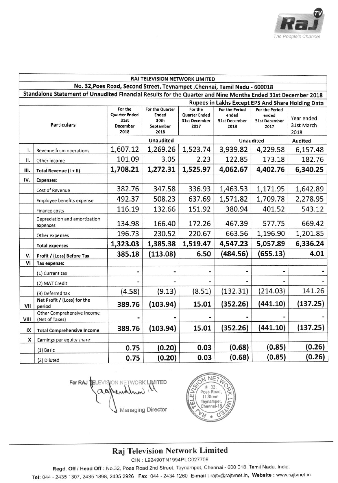

|                                                                                                              | RAJ TELEVISION NETWORK LIMITED                                            |                                                             |                                                              |                                                                 |                                                         |                                                                |                                  |  |  |  |  |
|--------------------------------------------------------------------------------------------------------------|---------------------------------------------------------------------------|-------------------------------------------------------------|--------------------------------------------------------------|-----------------------------------------------------------------|---------------------------------------------------------|----------------------------------------------------------------|----------------------------------|--|--|--|--|
|                                                                                                              | No. 32, Poes Road, Second Street, Teynampet, Chennai, Tamil Nadu - 600018 |                                                             |                                                              |                                                                 |                                                         |                                                                |                                  |  |  |  |  |
| Standalone Statement of Unaudited Financial Results for the Quarter and Nine Months Ended 31st December 2018 |                                                                           |                                                             |                                                              |                                                                 |                                                         |                                                                |                                  |  |  |  |  |
| Rupees in Lakhs Except EPS And Share Holding Data                                                            |                                                                           |                                                             |                                                              |                                                                 |                                                         |                                                                |                                  |  |  |  |  |
| <b>Particulars</b>                                                                                           |                                                                           | For the<br><b>Quarter Ended</b><br>31st<br>December<br>2018 | For the Quarter<br><b>Ended</b><br>30th<br>September<br>2018 | For the<br><b>Quarter Ended</b><br><b>31st December</b><br>2017 | <b>For the Period</b><br>ended<br>31st December<br>2018 | <b>For the Period</b><br>ended<br><b>31st December</b><br>2017 | Year ended<br>31st March<br>2018 |  |  |  |  |
|                                                                                                              |                                                                           | <b>Unaudited</b>                                            |                                                              | <b>Unaudited</b>                                                |                                                         | <b>Audited</b>                                                 |                                  |  |  |  |  |
| 1.                                                                                                           | Revenue from operations                                                   | 1,607.12                                                    | 1,269.26                                                     | 1,523.74                                                        | 3,939.82                                                | 4,229.58                                                       | 6,157.48                         |  |  |  |  |
| Π.                                                                                                           | Other income                                                              | 101.09                                                      | 3.05                                                         | 2.23                                                            | 122.85                                                  | 173.18                                                         | 182.76                           |  |  |  |  |
| Ш.                                                                                                           | Total Revenue (I + II)                                                    | 1,708.21                                                    | 1,272.31                                                     | 1,525.97                                                        | 4,062.67                                                | 4,402.76                                                       | 6,340.25                         |  |  |  |  |
| IV.                                                                                                          | <b>Expenses:</b>                                                          |                                                             |                                                              |                                                                 |                                                         |                                                                |                                  |  |  |  |  |
|                                                                                                              | Cost of Revenue                                                           | 382.76                                                      | 347.58                                                       | 336.93                                                          | 1,463.53                                                | 1,171.95                                                       | 1,642.89                         |  |  |  |  |
|                                                                                                              | Employee benefits expense                                                 | 492.37                                                      | 508.23                                                       | 637.69                                                          | 1,571.82                                                | 1,709.78                                                       | 2,278.95                         |  |  |  |  |
|                                                                                                              | <b>Finance costs</b>                                                      | 116.19                                                      | 132.66                                                       | 151.92                                                          | 380.94                                                  | 401.52                                                         | 543.12                           |  |  |  |  |
|                                                                                                              | Depreciation and amortization<br>expenses                                 | 134.98                                                      | 166.40                                                       | 172.26                                                          | 467.39                                                  | 577.75                                                         | 669.42                           |  |  |  |  |
|                                                                                                              | Other expenses                                                            | 196.73                                                      | 230.52                                                       | 220.67                                                          | 663.56                                                  | 1,196.90                                                       | 1,201.85                         |  |  |  |  |
|                                                                                                              | <b>Total expenses</b>                                                     | 1,323.03                                                    | 1,385.38                                                     | 1,519.47                                                        | 4,547.23                                                | 5,057.89                                                       | 6,336.24                         |  |  |  |  |
| v.                                                                                                           | Profit / (Loss) Before Tax                                                | 385.18                                                      | (113.08)                                                     | 6.50                                                            | (484.56)                                                | (655.13)                                                       | 4.01                             |  |  |  |  |
| VI                                                                                                           | Tax expense:                                                              |                                                             |                                                              |                                                                 |                                                         |                                                                |                                  |  |  |  |  |
|                                                                                                              | (1) Current tax                                                           |                                                             |                                                              | ٠                                                               |                                                         |                                                                |                                  |  |  |  |  |
|                                                                                                              | (2) MAT Credit                                                            |                                                             |                                                              |                                                                 |                                                         |                                                                |                                  |  |  |  |  |
|                                                                                                              | (3) Deferred tax                                                          | (4.58)                                                      | (9.13)                                                       | (8.51)                                                          | (132.31)                                                | (214.03)                                                       | 141.26                           |  |  |  |  |
| VII                                                                                                          | Net Profit / (Loss) for the<br>period                                     | 389.76                                                      | (103.94)                                                     | 15.01                                                           | (352.26)                                                | (441.10)                                                       | (137.25)                         |  |  |  |  |
|                                                                                                              | Other Comprehensive Income                                                |                                                             |                                                              |                                                                 |                                                         |                                                                |                                  |  |  |  |  |
| VIII                                                                                                         | (Net of Taxes)                                                            | 389.76                                                      | (103.94)                                                     | 15.01                                                           | (352.26)                                                | (441.10)                                                       | (137.25)                         |  |  |  |  |
| IX                                                                                                           | <b>Total Comprehensive Income</b>                                         |                                                             |                                                              |                                                                 |                                                         |                                                                |                                  |  |  |  |  |
| X                                                                                                            | Earnings per equity share:                                                | 0.75                                                        | (0.20)                                                       | 0.03                                                            | (0.68)                                                  | (0.85)                                                         | (0.26)                           |  |  |  |  |
|                                                                                                              | (1) Basic                                                                 |                                                             |                                                              |                                                                 |                                                         |                                                                |                                  |  |  |  |  |
|                                                                                                              | (2) Diluted                                                               | 0.75                                                        | (0.20)                                                       | 0.03                                                            | (0.68)                                                  | (0.85)                                                         | (0.26)                           |  |  |  |  |

For RAJ TELEVISION NETWORK LIMITED ashend Managing Director



# Raj Television Network Limited

CIN: L92490TN1994PLC027709

Regd. Off / Head Off: No.32, Poes Road 2nd Street, Teynampet, Chennai - 600 018. Tamil Nadu, India.

Tel: 044 - 2435 1307, 2435 1898, 2435 2926 Fax: 044 - 2434 1260 E-mail : rajtv@rajtvnet.in, Website : www.rajtvnet.in